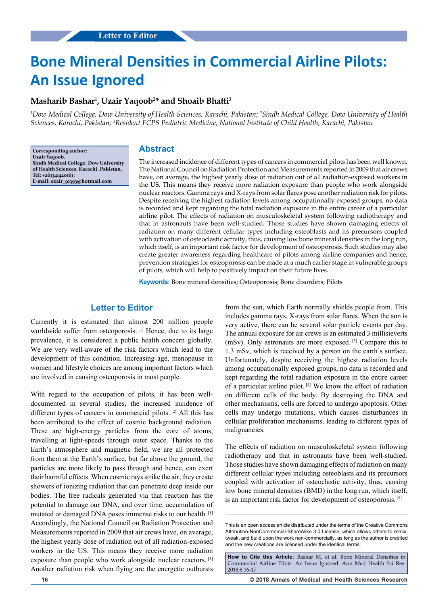# **Bone Mineral Densities in Commercial Airline Pilots: An Issue Ignored**

## **Masharib Bashar1 , Uzair Yaqoob2 \* and Shoaib Bhatti3**

<sup>1</sup>Dow Medical College, Dow University of Health Sciences, Karachi, Pakistan; <sup>2</sup>Sindh Medical College, Dow University of Health *Sciences, Karachi, Pakistan; 3 Resident FCPS Pediatric Medicine, National Institute of Child Health, Karachi, Pakistan*

**Corresponding author: Uzair Yaqoob, Sindh Medical College, Dow University of Health Sciences, Karachi, Pakistan, Tel: +261341420161; E-mail: ozair\_91393@hotmail.com**

#### **Abstract**

The increased incidence of different types of cancers in commercial pilots has been well known. The National Council on Radiation Protection and Measurements reported in 2009 that air crews have, on average, the highest yearly dose of radiation out of all radiation-exposed workers in the US. This means they receive more radiation exposure than people who work alongside nuclear reactors. Gamma rays and X-rays from solar flares pose another radiation risk for pilots. Despite receiving the highest radiation levels among occupationally exposed groups, no data is recorded and kept regarding the total radiation exposure in the entire career of a particular airline pilot. The effects of radiation on musculoskeletal system following radiotherapy and that in astronauts have been well-studied. Those studies have shown damaging effects of radiation on many different cellular types including osteoblasts and its precursors coupled with activation of osteoclastic activity, thus, causing low bone mineral densities in the long run, which itself, is an important risk factor for development of osteoporosis. Such studies may also create greater awareness regarding healthcare of pilots among airline companies and hence, prevention strategies for osteoporosis can be made at a much earlier stage in vulnerable groups of pilots, which will help to positively impact on their future lives.

**Keywords:** Bone mineral densities; Osteoporosis; Bone disorders; Pilots

## **Letter to Editor**

Currently it is estimated that almost 200 million people worldwide suffer from osteoporosis.<sup>[1]</sup> Hence, due to its large prevalence, it is considered a public health concern globally. We are very well-aware of the risk factors which lead to the development of this condition. Increasing age, menopause in women and lifestyle choices are among important factors which are involved in causing osteoporosis in most people.

With regard to the occupation of pilots, it has been welldocumented in several studies, the increased incidence of different types of cancers in commercial pilots. [2] All this has been attributed to the effect of cosmic background radiation. These are high-energy particles from the core of atoms, travelling at light-speeds through outer space. Thanks to the Earth's atmosphere and magnetic field, we are all protected from them at the Earth's surface, but far above the ground, the particles are more likely to pass through and hence, can exert their harmful effects. When cosmic rays strike the air, they create showers of ionizing radiation that can penetrate deep inside our bodies. The free radicals generated via that reaction has the potential to damage our DNA, and over time, accumulation of mutated or damaged DNA poses immense risks to our health. [3] Accordingly, the National Council on Radiation Protection and Measurements reported in 2009 that air crews have, on average, the highest yearly dose of radiation out of all radiation-exposed workers in the US. This means they receive more radiation exposure than people who work alongside nuclear reactors. [3] Another radiation risk when flying are the energetic outbursts

from the sun, which Earth normally shields people from. This includes gamma rays, X-rays from solar flares. When the sun is very active, there can be several solar particle events per day. The annual exposure for air crews is an estimated 3 millisieverts (mSv). Only astronauts are more exposed. [3] Compare this to 1.3 mSv, which is received by a person on the earth's surface. Unfortunately, despite receiving the highest radiation levels among occupationally exposed groups, no data is recorded and kept regarding the total radiation exposure in the entire career of a particular airline pilot. [4] We know the effect of radiation on different cells of the body. By destroying the DNA and other mechanisms, cells are forced to undergo apoptosis. Other cells may undergo mutations, which causes disturbances in cellular proliferation mechanisms, leading to different types of malignancies.

The effects of radiation on musculoskeletal system following radiotherapy and that in astronauts have been well-studied. Those studies have shown damaging effects of radiation on many different cellular types including osteoblasts and its precursors coupled with activation of osteoclastic activity, thus, causing low bone mineral densities (BMD) in the long run, which itself, is an important risk factor for development of osteoporosis. [5]

**16 © 2018 Annals of Medical and Health Sciences Research** 

This is an open access article distributed under the terms of the Creative Commons Attribution-NonCommercial-ShareAlike 3.0 License, which allows others to remix, tweak, and build upon the work non‑commercially, as long as the author is credited and the new creations are licensed under the identical terms.

**How to Cite this Article:** Bashar M, et al. Bone Mineral Densities in Commercial Airline Pilots: An Issue Ignored. Ann Med Health Sci Res. 2018;8:16-17